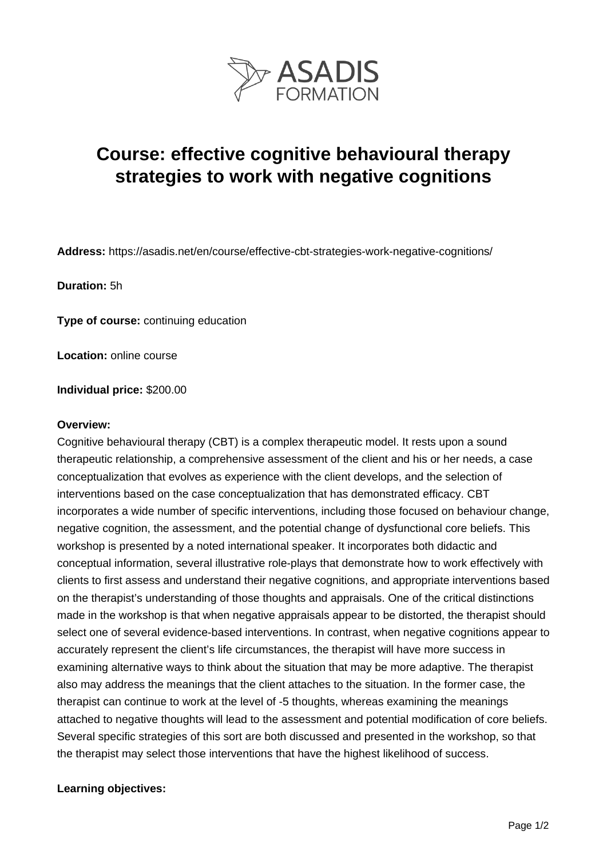

# **Course: effective cognitive behavioural therapy strategies to work with negative cognitions**

**Address:** https://asadis.net/en/course/effective-cbt-strategies-work-negative-cognitions/

**Duration:** 5h

**Type of course:** continuing education

**Location:** online course

**Individual price:** \$200.00

#### **Overview:**

Cognitive behavioural therapy (CBT) is a complex therapeutic model. It rests upon a sound therapeutic relationship, a comprehensive assessment of the client and his or her needs, a case conceptualization that evolves as experience with the client develops, and the selection of interventions based on the case conceptualization that has demonstrated efficacy. CBT incorporates a wide number of specific interventions, including those focused on behaviour change, negative cognition, the assessment, and the potential change of dysfunctional core beliefs. This workshop is presented by a noted international speaker. It incorporates both didactic and conceptual information, several illustrative role-plays that demonstrate how to work effectively with clients to first assess and understand their negative cognitions, and appropriate interventions based on the therapist's understanding of those thoughts and appraisals. One of the critical distinctions made in the workshop is that when negative appraisals appear to be distorted, the therapist should select one of several evidence-based interventions. In contrast, when negative cognitions appear to accurately represent the client's life circumstances, the therapist will have more success in examining alternative ways to think about the situation that may be more adaptive. The therapist also may address the meanings that the client attaches to the situation. In the former case, the therapist can continue to work at the level of -5 thoughts, whereas examining the meanings attached to negative thoughts will lead to the assessment and potential modification of core beliefs. Several specific strategies of this sort are both discussed and presented in the workshop, so that the therapist may select those interventions that have the highest likelihood of success.

#### **Learning objectives:**